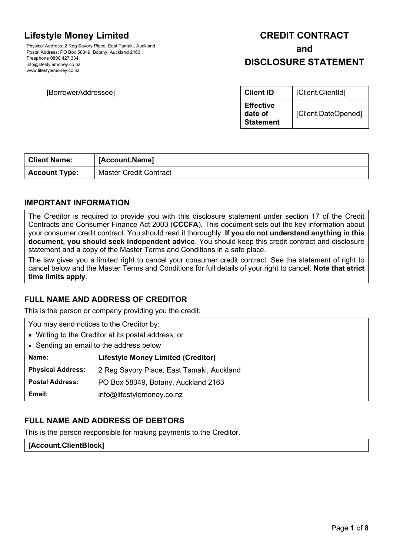# **Lifestyle Money Limited**

Physical Address: 2 Reg Savory Place, East Tamaki, Auckland Postal Address: PO Box 58349, Botany, Auckland 2163 Freephone 0800 427 334 info@lifestylemoney.co.nz www.lifestylemoney.co.nz

#### **[BorrowerAddressee]**

# **CREDIT CONTRACT and**

# **DISCLOSURE STATEMENT**

| <b>Client ID</b>                                | [Client.ClientId]   |
|-------------------------------------------------|---------------------|
| <b>Effective</b><br>date of<br><b>Statement</b> | [Client.DateOpened] |

| <b>Client Name:</b>  | [Account.Name]                |
|----------------------|-------------------------------|
| <b>Account Type:</b> | <b>Master Credit Contract</b> |

# **IMPORTANT INFORMATION**

The Creditor is required to provide you with this disclosure statement under section 17 of the Credit Contracts and Consumer Finance Act 2003 (**CCCFA**). This document sets out the key information about your consumer credit contract. You should read it thoroughly. **If you do not understand anything in this document, you should seek independent advice**. You should keep this credit contract and disclosure statement and a copy of the Master Terms and Conditions in a safe place.

The law gives you a limited right to cancel your consumer credit contract. See the statement of right to cancel below and the Master Terms and Conditions for full details of your right to cancel. **Note that strict time limits apply**.

# **FULL NAME AND ADDRESS OF CREDITOR**

This is the person or company providing you the credit.

| You may send notices to the Creditor by:            |                                           |  |
|-----------------------------------------------------|-------------------------------------------|--|
| • Writing to the Creditor at its postal address; or |                                           |  |
| • Sending an email to the address below             |                                           |  |
| Name:                                               | <b>Lifestyle Money Limited (Creditor)</b> |  |
| <b>Physical Address:</b>                            | 2 Reg Savory Place, East Tamaki, Auckland |  |
| <b>Postal Address:</b>                              | PO Box 58349, Botany, Auckland 2163       |  |
| Email:                                              | info@lifestylemoney.co.nz                 |  |

# **FULL NAME AND ADDRESS OF DEBTORS**

This is the person responsible for making payments to the Creditor.

**[Account.ClientBlock]**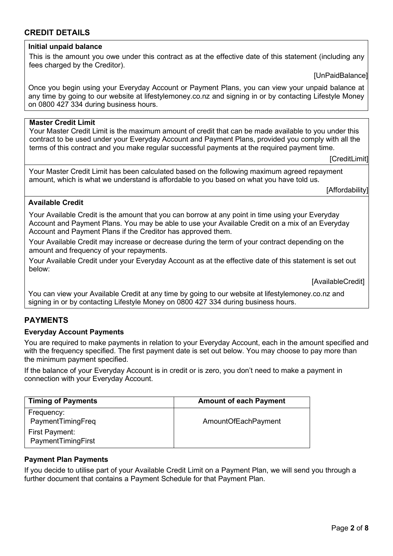# **CREDIT DETAILS**

#### **Initial unpaid balance**

This is the amount you owe under this contract as at the effective date of this statement (including any fees charged by the Creditor).

[UnPaidBalance]

Once you begin using your Everyday Account or Payment Plans, you can view your unpaid balance at any time by going to our website at lifestylemoney.co.nz and signing in or by contacting Lifestyle Money on 0800 427 334 during business hours.

#### **Master Credit Limit**

Your Master Credit Limit is the maximum amount of credit that can be made available to you under this contract to be used under your Everyday Account and Payment Plans, provided you comply with all the terms of this contract and you make regular successful payments at the required payment time.

[CreditLimit]

Your Master Credit Limit has been calculated based on the following maximum agreed repayment amount, which is what we understand is affordable to you based on what you have told us.

[Affordability]

#### **Available Credit**

Your Available Credit is the amount that you can borrow at any point in time using your Everyday Account and Payment Plans. You may be able to use your Available Credit on a mix of an Everyday Account and Payment Plans if the Creditor has approved them.

Your Available Credit may increase or decrease during the term of your contract depending on the amount and frequency of your repayments.

Your Available Credit under your Everyday Account as at the effective date of this statement is set out below:

[AvailableCredit]

You can view your Available Credit at any time by going to our website at lifestylemoney.co.nz and signing in or by contacting Lifestyle Money on 0800 427 334 during business hours.

# **PAYMENTS**

#### **Everyday Account Payments**

You are required to make payments in relation to your Everyday Account, each in the amount specified and with the frequency specified. The first payment date is set out below. You may choose to pay more than the minimum payment specified.

If the balance of your Everyday Account is in credit or is zero, you don't need to make a payment in connection with your Everyday Account.

| <b>Timing of Payments</b>            | <b>Amount of each Payment</b> |
|--------------------------------------|-------------------------------|
| Frequency:<br>PaymentTimingFreq      | AmountOfEachPayment           |
| First Payment:<br>PaymentTimingFirst |                               |

#### **Payment Plan Payments**

If you decide to utilise part of your Available Credit Limit on a Payment Plan, we will send you through a further document that contains a Payment Schedule for that Payment Plan.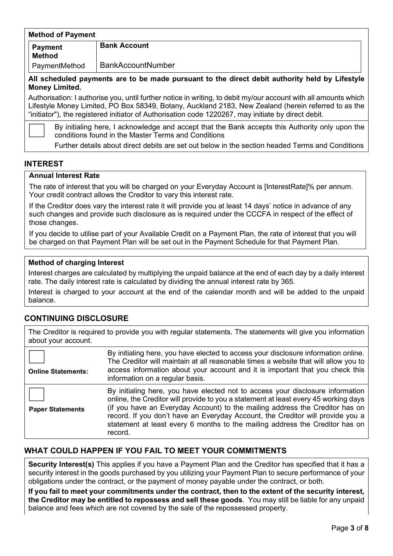#### **Method of Payment**

**Method**

**Payment Bank Account**

PaymentMethod BankAccountNumber

**All scheduled payments are to be made pursuant to the direct debit authority held by Lifestyle Money Limited.**

Authorisation: I authorise you, until further notice in writing, to debit my/our account with all amounts which Lifestyle Money Limited, PO Box 58349, Botany, Auckland 2183, New Zealand (herein referred to as the "initiator"), the registered initiator of Authorisation code 1220267, may initiate by direct debit.

By initialing here, I acknowledge and accept that the Bank accepts this Authority only upon the conditions found in the Master Terms and Conditions

Further details about direct debits are set out below in the section headed Terms and Conditions

## **INTEREST**

#### **Annual Interest Rate**

The rate of interest that you will be charged on your Everyday Account is [InterestRate]% per annum. Your credit contract allows the Creditor to vary this interest rate.

If the Creditor does vary the interest rate it will provide you at least 14 days' notice in advance of any such changes and provide such disclosure as is required under the CCCFA in respect of the effect of those changes.

If you decide to utilise part of your Available Credit on a Payment Plan, the rate of interest that you will be charged on that Payment Plan will be set out in the Payment Schedule for that Payment Plan.

#### **Method of charging Interest**

Interest charges are calculated by multiplying the unpaid balance at the end of each day by a daily interest rate. The daily interest rate is calculated by dividing the annual interest rate by 365.

Interest is charged to your account at the end of the calendar month and will be added to the unpaid balance.

# **CONTINUING DISCLOSURE**

The Creditor is required to provide you with regular statements. The statements will give you information about your account.

| <b>Online Statements:</b> | By initialing here, you have elected to access your disclosure information online.<br>The Creditor will maintain at all reasonable times a website that will allow you to<br>access information about your account and it is important that you check this<br>information on a regular basis.                                                                                                                                      |
|---------------------------|------------------------------------------------------------------------------------------------------------------------------------------------------------------------------------------------------------------------------------------------------------------------------------------------------------------------------------------------------------------------------------------------------------------------------------|
| <b>Paper Statements</b>   | By initialing here, you have elected not to access your disclosure information<br>online, the Creditor will provide to you a statement at least every 45 working days<br>(if you have an Everyday Account) to the mailing address the Creditor has on<br>record. If you don't have an Everyday Account, the Creditor will provide you a<br>statement at least every 6 months to the mailing address the Creditor has on<br>record. |

# **WHAT COULD HAPPEN IF YOU FAIL TO MEET YOUR COMMITMENTS**

**Security Interest(s)** This applies if you have a Payment Plan and the Creditor has specified that it has a security interest in the goods purchased by you utilizing your Payment Plan to secure performance of your obligations under the contract, or the payment of money payable under the contract, or both.

**If you fail to meet your commitments under the contract, then to the extent of the security interest, the Creditor may be entitled to repossess and sell these goods**. You may still be liable for any unpaid balance and fees which are not covered by the sale of the repossessed property.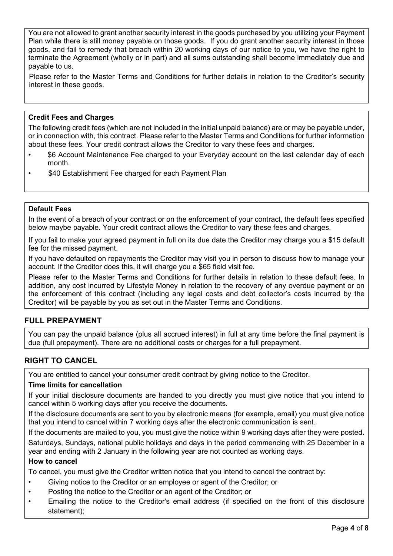You are not allowed to grant another security interest in the goods purchased by you utilizing your Payment Plan while there is still money payable on those goods. If you do grant another security interest in those goods, and fail to remedy that breach within 20 working days of our notice to you, we have the right to terminate the Agreement (wholly or in part) and all sums outstanding shall become immediately due and payable to us.

Please refer to the Master Terms and Conditions for further details in relation to the Creditor's security interest in these goods.

# **Credit Fees and Charges**

The following credit fees (which are not included in the initial unpaid balance) are or may be payable under, or in connection with, this contract. Please refer to the Master Terms and Conditions for further information about these fees. Your credit contract allows the Creditor to vary these fees and charges.

- \$6 Account Maintenance Fee charged to your Everyday account on the last calendar day of each month.
- \$40 Establishment Fee charged for each Payment Plan

#### **Default Fees**

In the event of a breach of your contract or on the enforcement of your contract, the default fees specified below maybe payable. Your credit contract allows the Creditor to vary these fees and charges.

If you fail to make your agreed payment in full on its due date the Creditor may charge you a \$15 default fee for the missed payment.

If you have defaulted on repayments the Creditor may visit you in person to discuss how to manage your account. If the Creditor does this, it will charge you a \$65 field visit fee.

Please refer to the Master Terms and Conditions for further details in relation to these default fees. In addition, any cost incurred by Lifestyle Money in relation to the recovery of any overdue payment or on the enforcement of this contract (including any legal costs and debt collector's costs incurred by the Creditor) will be payable by you as set out in the Master Terms and Conditions.

# **FULL PREPAYMENT**

You can pay the unpaid balance (plus all accrued interest) in full at any time before the final payment is due (full prepayment). There are no additional costs or charges for a full prepayment.

# **RIGHT TO CANCEL**

You are entitled to cancel your consumer credit contract by giving notice to the Creditor.

#### **Time limits for cancellation**

If your initial disclosure documents are handed to you directly you must give notice that you intend to cancel within 5 working days after you receive the documents.

If the disclosure documents are sent to you by electronic means (for example, email) you must give notice that you intend to cancel within 7 working days after the electronic communication is sent.

If the documents are mailed to you, you must give the notice within 9 working days after they were posted.

Saturdays, Sundays, national public holidays and days in the period commencing with 25 December in a year and ending with 2 January in the following year are not counted as working days.

#### **How to cancel**

To cancel, you must give the Creditor written notice that you intend to cancel the contract by:

- Giving notice to the Creditor or an employee or agent of the Creditor; or
- Posting the notice to the Creditor or an agent of the Creditor; or
- Emailing the notice to the Creditor's email address (if specified on the front of this disclosure statement);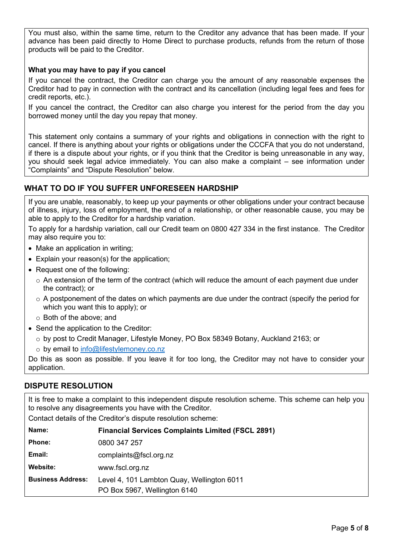You must also, within the same time, return to the Creditor any advance that has been made. If your advance has been paid directly to Home Direct to purchase products, refunds from the return of those products will be paid to the Creditor.

## **What you may have to pay if you cancel**

If you cancel the contract, the Creditor can charge you the amount of any reasonable expenses the Creditor had to pay in connection with the contract and its cancellation (including legal fees and fees for credit reports, etc.).

If you cancel the contract, the Creditor can also charge you interest for the period from the day you borrowed money until the day you repay that money.

This statement only contains a summary of your rights and obligations in connection with the right to cancel. If there is anything about your rights or obligations under the CCCFA that you do not understand, if there is a dispute about your rights, or if you think that the Creditor is being unreasonable in any way, you should seek legal advice immediately. You can also make a complaint – see information under "Complaints" and "Dispute Resolution" below.

# **WHAT TO DO IF YOU SUFFER UNFORESEEN HARDSHIP**

If you are unable, reasonably, to keep up your payments or other obligations under your contract because of illness, injury, loss of employment, the end of a relationship, or other reasonable cause, you may be able to apply to the Creditor for a hardship variation.

To apply for a hardship variation, call our Credit team on 0800 427 334 in the first instance. The Creditor may also require you to:

- Make an application in writing:
- Explain your reason(s) for the application;
- Request one of the following:
	- o An extension of the term of the contract (which will reduce the amount of each payment due under the contract); or
	- $\circ$  A postponement of the dates on which payments are due under the contract (specify the period for which you want this to apply); or
	- o Both of the above; and
- Send the application to the Creditor:
	- $\circ$  by post to Credit Manager, Lifestyle Money, PO Box 58349 Botany, Auckland 2163; or
	- o by email to [info@lifestylemoney.co.nz](mailto:creditadmin@lifestylemoney.co.nz)

Do this as soon as possible. If you leave it for too long, the Creditor may not have to consider your application.

# **DISPUTE RESOLUTION**

It is free to make a complaint to this independent dispute resolution scheme. This scheme can help you to resolve any disagreements you have with the Creditor.

Contact details of the Creditor's dispute resolution scheme:

| Name:                    | <b>Financial Services Complaints Limited (FSCL 2891)</b> |  |
|--------------------------|----------------------------------------------------------|--|
| <b>Phone:</b>            | 0800 347 257                                             |  |
| Email:                   | complaints@fscl.org.nz                                   |  |
| Website:                 | www.fscl.org.nz                                          |  |
| <b>Business Address:</b> | Level 4, 101 Lambton Quay, Wellington 6011               |  |
|                          | PO Box 5967, Wellington 6140                             |  |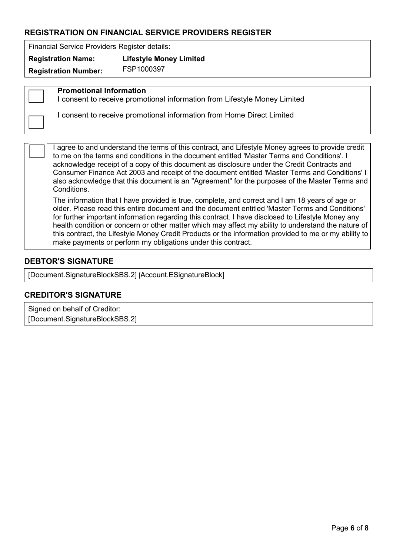# **REGISTRATION ON FINANCIAL SERVICE PROVIDERS REGISTER**

Financial Service Providers Register details:

**Registration Name: Lifestyle Money Limited**

**Registration Number:** FSP1000397

**Promotional Information**

I consent to receive promotional information from Lifestyle Money Limited

I consent to receive promotional information from Home Direct Limited

I agree to and understand the terms of this contract, and Lifestyle Money agrees to provide credit to me on the terms and conditions in the document entitled 'Master Terms and Conditions'. I acknowledge receipt of a copy of this document as disclosure under the Credit Contracts and Consumer Finance Act 2003 and receipt of the document entitled 'Master Terms and Conditions' I also acknowledge that this document is an "Agreement" for the purposes of the Master Terms and Conditions.

The information that I have provided is true, complete, and correct and I am 18 years of age or older. Please read this entire document and the document entitled 'Master Terms and Conditions' for further important information regarding this contract. I have disclosed to Lifestyle Money any health condition or concern or other matter which may affect my ability to understand the nature of this contract, the Lifestyle Money Credit Products or the information provided to me or my ability to make payments or perform my obligations under this contract.

# **DEBTOR'S SIGNATURE**

[Document.SignatureBlockSBS.2] [Account.ESignatureBlock]

# **CREDITOR'S SIGNATURE**

Signed on behalf of Creditor: [Document.SignatureBlockSBS.2]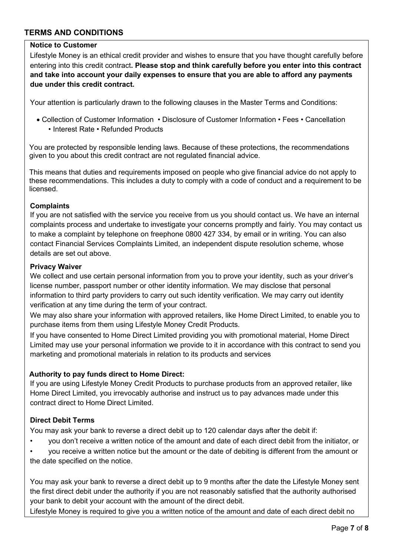# **TERMS AND CONDITIONS**

### **Notice to Customer**

Lifestyle Money is an ethical credit provider and wishes to ensure that you have thought carefully before entering into this credit contract**. Please stop and think carefully before you enter into this contract and take into account your daily expenses to ensure that you are able to afford any payments due under this credit contract.**

Your attention is particularly drawn to the following clauses in the Master Terms and Conditions:

• Collection of Customer Information • Disclosure of Customer Information • Fees • Cancellation • Interest Rate • Refunded Products

You are protected by responsible lending laws. Because of these protections, the recommendations given to you about this credit contract are not regulated financial advice.

This means that duties and requirements imposed on people who give financial advice do not apply to these recommendations. This includes a duty to comply with a code of conduct and a requirement to be licensed.

#### **Complaints**

If you are not satisfied with the service you receive from us you should contact us. We have an internal complaints process and undertake to investigate your concerns promptly and fairly. You may contact us to make a complaint by telephone on freephone 0800 427 334, by email or in writing. You can also contact Financial Services Complaints Limited, an independent dispute resolution scheme, whose details are set out above.

#### **Privacy Waiver**

We collect and use certain personal information from you to prove your identity, such as your driver's license number, passport number or other identity information. We may disclose that personal information to third party providers to carry out such identity verification. We may carry out identity verification at any time during the term of your contract.

We may also share your information with approved retailers, like Home Direct Limited, to enable you to purchase items from them using Lifestyle Money Credit Products.

If you have consented to Home Direct Limited providing you with promotional material, Home Direct Limited may use your personal information we provide to it in accordance with this contract to send you marketing and promotional materials in relation to its products and services

#### **Authority to pay funds direct to Home Direct:**

If you are using Lifestyle Money Credit Products to purchase products from an approved retailer, like Home Direct Limited, you irrevocably authorise and instruct us to pay advances made under this contract direct to Home Direct Limited.

#### **Direct Debit Terms**

You may ask your bank to reverse a direct debit up to 120 calendar days after the debit if:

- you don't receive a written notice of the amount and date of each direct debit from the initiator, or
- you receive a written notice but the amount or the date of debiting is different from the amount or the date specified on the notice.

You may ask your bank to reverse a direct debit up to 9 months after the date the Lifestyle Money sent the first direct debit under the authority if you are not reasonably satisfied that the authority authorised your bank to debit your account with the amount of the direct debit.

Lifestyle Money is required to give you a written notice of the amount and date of each direct debit no